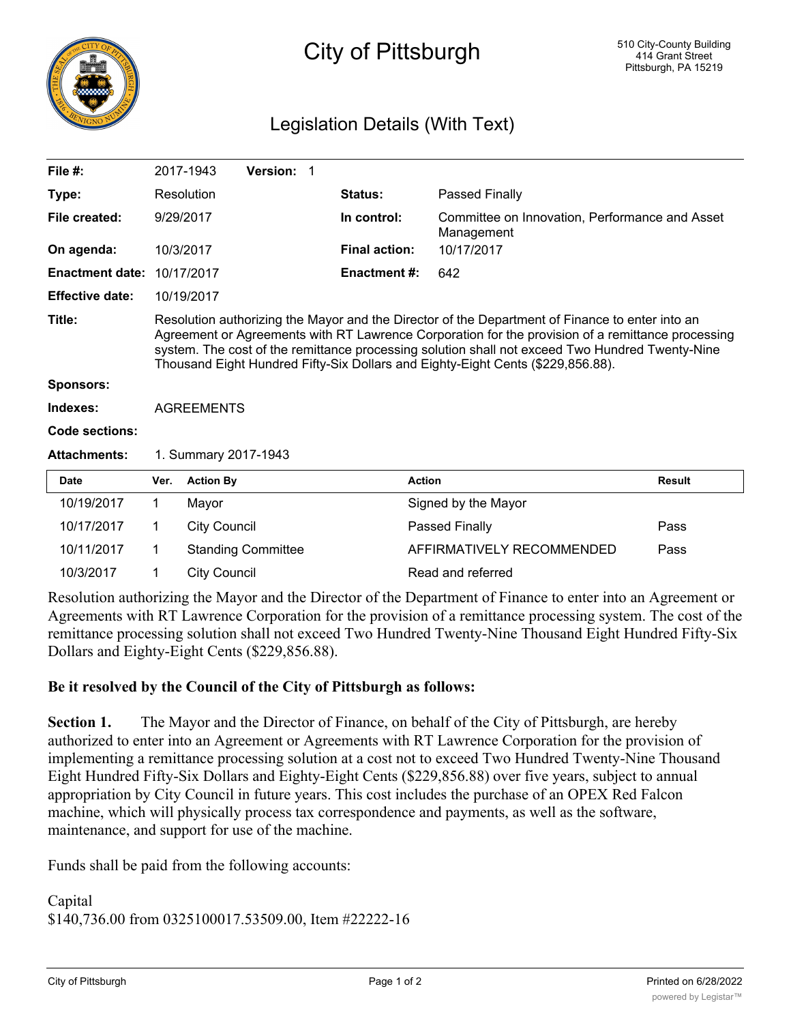

## Legislation Details (With Text)

| File $#$ :             |                                                                                                                                                                                                                                                                                                                                                                                            | 2017-1943                 | Version: 1                                                                            |                      |                                                              |                                                  |               |
|------------------------|--------------------------------------------------------------------------------------------------------------------------------------------------------------------------------------------------------------------------------------------------------------------------------------------------------------------------------------------------------------------------------------------|---------------------------|---------------------------------------------------------------------------------------|----------------------|--------------------------------------------------------------|--------------------------------------------------|---------------|
| Type:                  |                                                                                                                                                                                                                                                                                                                                                                                            | Resolution                |                                                                                       | Status:              |                                                              | Passed Finally                                   |               |
| File created:          | 9/29/2017                                                                                                                                                                                                                                                                                                                                                                                  |                           | In control:                                                                           |                      | Committee on Innovation, Performance and Asset<br>Management |                                                  |               |
| On agenda:             |                                                                                                                                                                                                                                                                                                                                                                                            | 10/3/2017                 |                                                                                       | <b>Final action:</b> |                                                              | 10/17/2017                                       |               |
| <b>Enactment date:</b> |                                                                                                                                                                                                                                                                                                                                                                                            | 10/17/2017                | <b>Enactment #:</b>                                                                   |                      | 642                                                          |                                                  |               |
| <b>Effective date:</b> | 10/19/2017                                                                                                                                                                                                                                                                                                                                                                                 |                           |                                                                                       |                      |                                                              |                                                  |               |
| Title:                 | Resolution authorizing the Mayor and the Director of the Department of Finance to enter into an<br>Agreement or Agreements with RT Lawrence Corporation for the provision of a remittance processing<br>system. The cost of the remittance processing solution shall not exceed Two Hundred Twenty-Nine<br>Thousand Eight Hundred Fifty-Six Dollars and Eighty-Eight Cents (\$229,856.88). |                           |                                                                                       |                      |                                                              |                                                  |               |
| Sponsors:              |                                                                                                                                                                                                                                                                                                                                                                                            |                           |                                                                                       |                      |                                                              |                                                  |               |
| Indexes:               | <b>AGREEMENTS</b>                                                                                                                                                                                                                                                                                                                                                                          |                           |                                                                                       |                      |                                                              |                                                  |               |
| Code sections:         |                                                                                                                                                                                                                                                                                                                                                                                            |                           |                                                                                       |                      |                                                              |                                                  |               |
| <b>Attachments:</b>    | 1. Summary 2017-1943                                                                                                                                                                                                                                                                                                                                                                       |                           |                                                                                       |                      |                                                              |                                                  |               |
| <b>Date</b>            | Ver.                                                                                                                                                                                                                                                                                                                                                                                       | <b>Action By</b>          |                                                                                       |                      | <b>Action</b>                                                |                                                  | <b>Result</b> |
| 10/19/2017             | $\mathbf 1$                                                                                                                                                                                                                                                                                                                                                                                | Mayor                     |                                                                                       |                      |                                                              | Signed by the Mayor                              |               |
| 10/17/2017             | $\mathbf{1}$                                                                                                                                                                                                                                                                                                                                                                               | <b>City Council</b>       |                                                                                       |                      |                                                              | <b>Passed Finally</b><br>Pass                    |               |
| 10/11/2017             | $\mathbf 1$                                                                                                                                                                                                                                                                                                                                                                                | <b>Standing Committee</b> |                                                                                       |                      | AFFIRMATIVELY RECOMMENDED                                    | Pass                                             |               |
| 10/3/2017              | 1.                                                                                                                                                                                                                                                                                                                                                                                         | <b>City Council</b>       |                                                                                       |                      |                                                              | Read and referred                                |               |
|                        |                                                                                                                                                                                                                                                                                                                                                                                            |                           | $\mathcal{A}$ and $\mathcal{A}$ and $\mathcal{A}$ and $\mathcal{A}$ and $\mathcal{A}$ |                      | $0.1 \quad \text{m}$ .                                       | $\sim$ $\sim$ $\sim$ $\sim$ $\sim$ $\sim$ $\sim$ |               |

Resolution authorizing the Mayor and the Director of the Department of Finance to enter into an Agreement or Agreements with RT Lawrence Corporation for the provision of a remittance processing system. The cost of the remittance processing solution shall not exceed Two Hundred Twenty-Nine Thousand Eight Hundred Fifty-Six Dollars and Eighty-Eight Cents (\$229,856.88).

## **Be it resolved by the Council of the City of Pittsburgh as follows:**

**Section 1.** The Mayor and the Director of Finance, on behalf of the City of Pittsburgh, are hereby authorized to enter into an Agreement or Agreements with RT Lawrence Corporation for the provision of implementing a remittance processing solution at a cost not to exceed Two Hundred Twenty-Nine Thousand Eight Hundred Fifty-Six Dollars and Eighty-Eight Cents (\$229,856.88) over five years, subject to annual appropriation by City Council in future years. This cost includes the purchase of an OPEX Red Falcon machine, which will physically process tax correspondence and payments, as well as the software, maintenance, and support for use of the machine.

Funds shall be paid from the following accounts:

Capital \$140,736.00 from 0325100017.53509.00, Item #22222-16